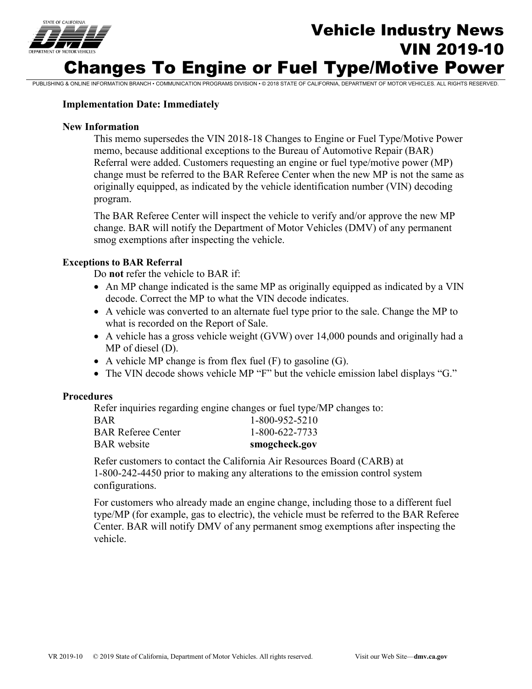

# Vehicle Industry News VIN 2019-10 Changes To Engine or Fuel Type/Motive Power

PUBLISHING & ONLINE INFORMATION BRANCH • COMMUNICATION PROGRAMS DIVISION • © 2018 STATE OF CALIFORNIA, DEPARTMENT OF MOTOR VEHICLES. ALL RIGHTS RESERVED.

### **Implementation Date: Immediately**

### **New Information**

 This memo supersedes the VIN 2018-18 Changes to Engine or Fuel Type/Motive Power memo, because additional exceptions to the Bureau of Automotive Repair (BAR) Referral were added. Customers requesting an engine or fuel type/motive power (MP) change must be referred to the BAR Referee Center when the new MP is not the same as originally equipped, as indicated by the vehicle identification number (VIN) decoding program.

 change. BAR will notify the Department of Motor Vehicles (DMV) of any permanent The BAR Referee Center will inspect the vehicle to verify and/or approve the new MP smog exemptions after inspecting the vehicle.

### **Exceptions to BAR Referral**

Do **not** refer the vehicle to BAR if:

- An MP change indicated is the same MP as originally equipped as indicated by a VIN decode. Correct the MP to what the VIN decode indicates.
- A vehicle was converted to an alternate fuel type prior to the sale. Change the MP to what is recorded on the Report of Sale.
- • A vehicle has a gross vehicle weight (GVW) over 14,000 pounds and originally had a MP of diesel (D).
- A vehicle MP change is from flex fuel  $(F)$  to gasoline  $(G)$ .
- The VIN decode shows vehicle MP "F" but the vehicle emission label displays "G."

### **Procedures**

Refer inquiries regarding engine changes or fuel type/MP changes to:

| <b>BAR</b> website        | smogcheck.gov    |
|---------------------------|------------------|
| <b>BAR Referee Center</b> | 1-800-622-7733   |
| <b>BAR</b>                | $1-800-952-5210$ |

Refer customers to contact the California Air Resources Board (CARB) at 1-800-242-4450 prior to making any alterations to the emission control system configurations.

For customers who already made an engine change, including those to a different fuel type/MP (for example, gas to electric), the vehicle must be referred to the BAR Referee Center. BAR will notify DMV of any permanent smog exemptions after inspecting the vehicle.